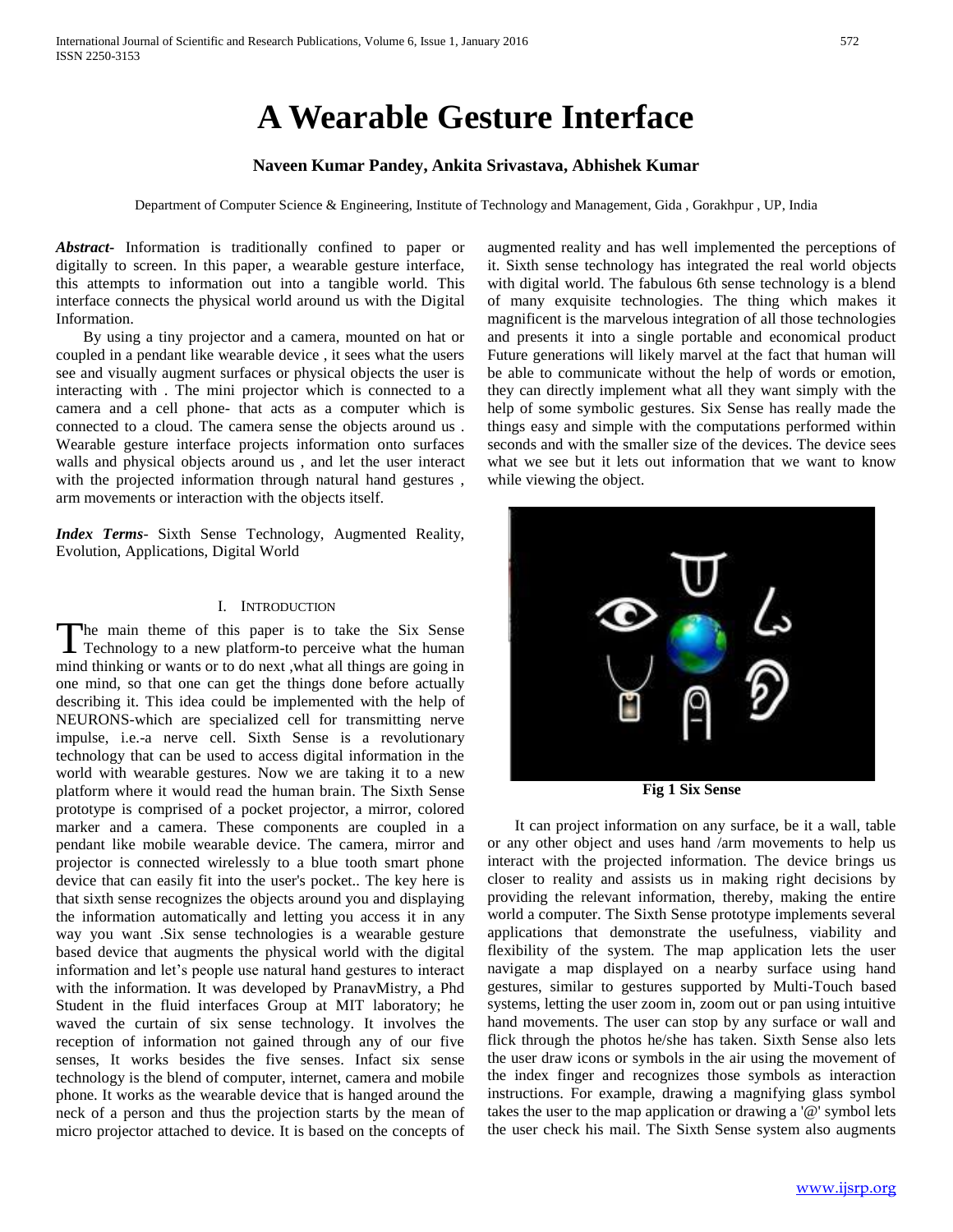# **A Wearable Gesture Interface**

# **Naveen Kumar Pandey, Ankita Srivastava, Abhishek Kumar**

Department of Computer Science & Engineering, Institute of Technology and Management, Gida , Gorakhpur , UP, India

*Abstract***-** Information is traditionally confined to paper or digitally to screen. In this paper, a wearable gesture interface, this attempts to information out into a tangible world. This interface connects the physical world around us with the Digital Information.

 By using a tiny projector and a camera, mounted on hat or coupled in a pendant like wearable device , it sees what the users see and visually augment surfaces or physical objects the user is interacting with . The mini projector which is connected to a camera and a cell phone- that acts as a computer which is connected to a cloud. The camera sense the objects around us . Wearable gesture interface projects information onto surfaces walls and physical objects around us , and let the user interact with the projected information through natural hand gestures , arm movements or interaction with the objects itself.

*Index Terms*- Sixth Sense Technology, Augmented Reality, Evolution, Applications, Digital World

#### I. INTRODUCTION

he main theme of this paper is to take the Six Sense The main theme of this paper is to take the Six Sense<br>Technology to a new platform-to perceive what the human mind thinking or wants or to do next ,what all things are going in one mind, so that one can get the things done before actually describing it. This idea could be implemented with the help of NEURONS-which are specialized cell for transmitting nerve impulse, i.e.-a nerve cell. Sixth Sense is a revolutionary technology that can be used to access digital information in the world with wearable gestures. Now we are taking it to a new platform where it would read the human brain. The Sixth Sense prototype is comprised of a pocket projector, a mirror, colored marker and a camera. These components are coupled in a pendant like mobile wearable device. The camera, mirror and projector is connected wirelessly to a blue tooth smart phone device that can easily fit into the user's pocket.. The key here is that sixth sense recognizes the objects around you and displaying the information automatically and letting you access it in any way you want .Six sense technologies is a wearable gesture based device that augments the physical world with the digital information and let's people use natural hand gestures to interact with the information. It was developed by PranavMistry, a Phd Student in the fluid interfaces Group at MIT laboratory; he waved the curtain of six sense technology. It involves the reception of information not gained through any of our five senses, It works besides the five senses. Infact six sense technology is the blend of computer, internet, camera and mobile phone. It works as the wearable device that is hanged around the neck of a person and thus the projection starts by the mean of micro projector attached to device. It is based on the concepts of

augmented reality and has well implemented the perceptions of it. Sixth sense technology has integrated the real world objects with digital world. The fabulous 6th sense technology is a blend of many exquisite technologies. The thing which makes it magnificent is the marvelous integration of all those technologies and presents it into a single portable and economical product Future generations will likely marvel at the fact that human will be able to communicate without the help of words or emotion, they can directly implement what all they want simply with the help of some symbolic gestures. Six Sense has really made the things easy and simple with the computations performed within seconds and with the smaller size of the devices. The device sees what we see but it lets out information that we want to know while viewing the object.



**Fig 1 Six Sense**

 It can project information on any surface, be it a wall, table or any other object and uses hand /arm movements to help us interact with the projected information. The device brings us closer to reality and assists us in making right decisions by providing the relevant information, thereby, making the entire world a computer. The Sixth Sense prototype implements several applications that demonstrate the usefulness, viability and flexibility of the system. The map application lets the user navigate a map displayed on a nearby surface using hand gestures, similar to gestures supported by Multi-Touch based systems, letting the user zoom in, zoom out or pan using intuitive hand movements. The user can stop by any surface or wall and flick through the photos he/she has taken. Sixth Sense also lets the user draw icons or symbols in the air using the movement of the index finger and recognizes those symbols as interaction instructions. For example, drawing a magnifying glass symbol takes the user to the map application or drawing a '@' symbol lets the user check his mail. The Sixth Sense system also augments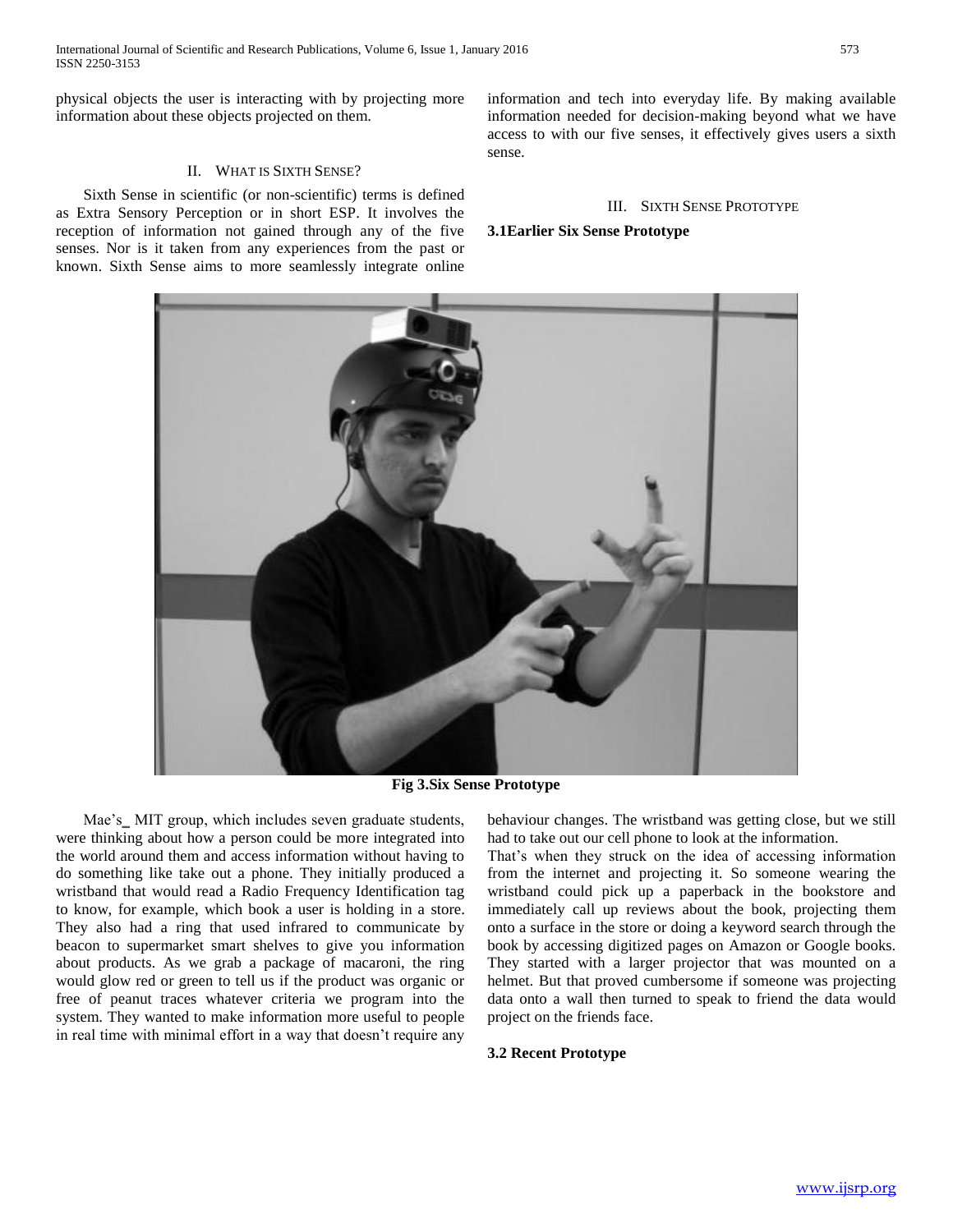physical objects the user is interacting with by projecting more information about these objects projected on them.

## II. WHAT IS SIXTH SENSE?

 Sixth Sense in scientific (or non-scientific) terms is defined as Extra Sensory Perception or in short ESP. It involves the reception of information not gained through any of the five senses. Nor is it taken from any experiences from the past or known. Sixth Sense aims to more seamlessly integrate online

information and tech into everyday life. By making available information needed for decision-making beyond what we have access to with our five senses, it effectively gives users a sixth sense.

# III. SIXTH SENSE PROTOTYPE

## **3.1Earlier Six Sense Prototype**



**Fig 3.Six Sense Prototype**

Mae's\_MIT group, which includes seven graduate students, were thinking about how a person could be more integrated into the world around them and access information without having to do something like take out a phone. They initially produced a wristband that would read a Radio Frequency Identification tag to know, for example, which book a user is holding in a store. They also had a ring that used infrared to communicate by beacon to supermarket smart shelves to give you information about products. As we grab a package of macaroni, the ring would glow red or green to tell us if the product was organic or free of peanut traces whatever criteria we program into the system. They wanted to make information more useful to people in real time with minimal effort in a way that doesn't require any

behaviour changes. The wristband was getting close, but we still had to take out our cell phone to look at the information.

That's when they struck on the idea of accessing information from the internet and projecting it. So someone wearing the wristband could pick up a paperback in the bookstore and immediately call up reviews about the book, projecting them onto a surface in the store or doing a keyword search through the book by accessing digitized pages on Amazon or Google books. They started with a larger projector that was mounted on a helmet. But that proved cumbersome if someone was projecting data onto a wall then turned to speak to friend the data would project on the friends face.

### **3.2 Recent Prototype**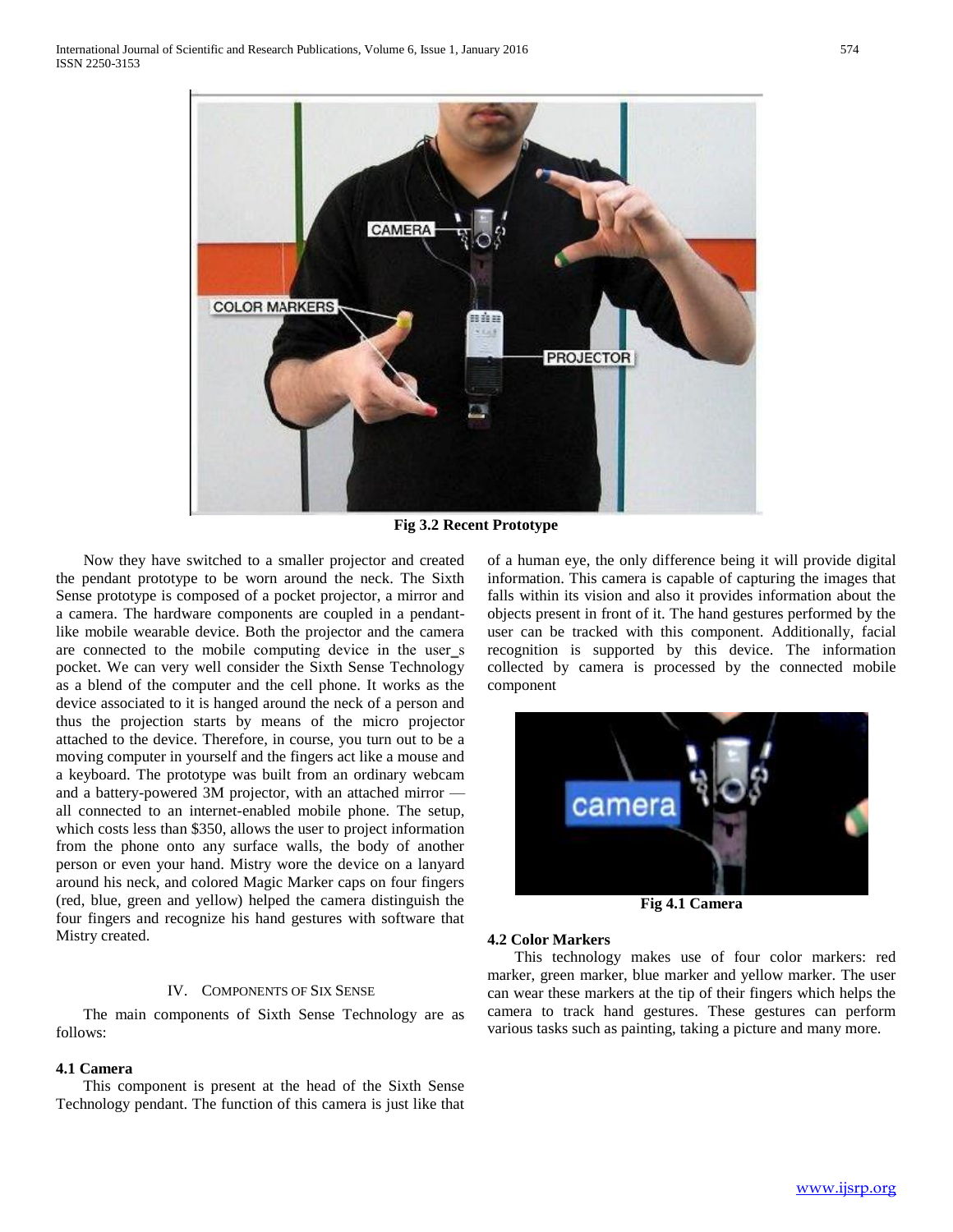

**Fig 3.2 Recent Prototype**

 Now they have switched to a smaller projector and created the pendant prototype to be worn around the neck. The Sixth Sense prototype is composed of a pocket projector, a mirror and a camera. The hardware components are coupled in a pendantlike mobile wearable device. Both the projector and the camera are connected to the mobile computing device in the user\_s pocket. We can very well consider the Sixth Sense Technology as a blend of the computer and the cell phone. It works as the device associated to it is hanged around the neck of a person and thus the projection starts by means of the micro projector attached to the device. Therefore, in course, you turn out to be a moving computer in yourself and the fingers act like a mouse and a keyboard. The prototype was built from an ordinary webcam and a battery-powered 3M projector, with an attached mirror all connected to an internet-enabled mobile phone. The setup, which costs less than \$350, allows the user to project information from the phone onto any surface walls, the body of another person or even your hand. Mistry wore the device on a lanyard around his neck, and colored Magic Marker caps on four fingers (red, blue, green and yellow) helped the camera distinguish the four fingers and recognize his hand gestures with software that Mistry created.

# IV. COMPONENTS OF SIX SENSE

 The main components of Sixth Sense Technology are as follows:

# **4.1 Camera**

 This component is present at the head of the Sixth Sense Technology pendant. The function of this camera is just like that of a human eye, the only difference being it will provide digital information. This camera is capable of capturing the images that falls within its vision and also it provides information about the objects present in front of it. The hand gestures performed by the user can be tracked with this component. Additionally, facial recognition is supported by this device. The information collected by camera is processed by the connected mobile component



**Fig 4.1 Camera**

#### **4.2 Color Markers**

 This technology makes use of four color markers: red marker, green marker, blue marker and yellow marker. The user can wear these markers at the tip of their fingers which helps the camera to track hand gestures. These gestures can perform various tasks such as painting, taking a picture and many more.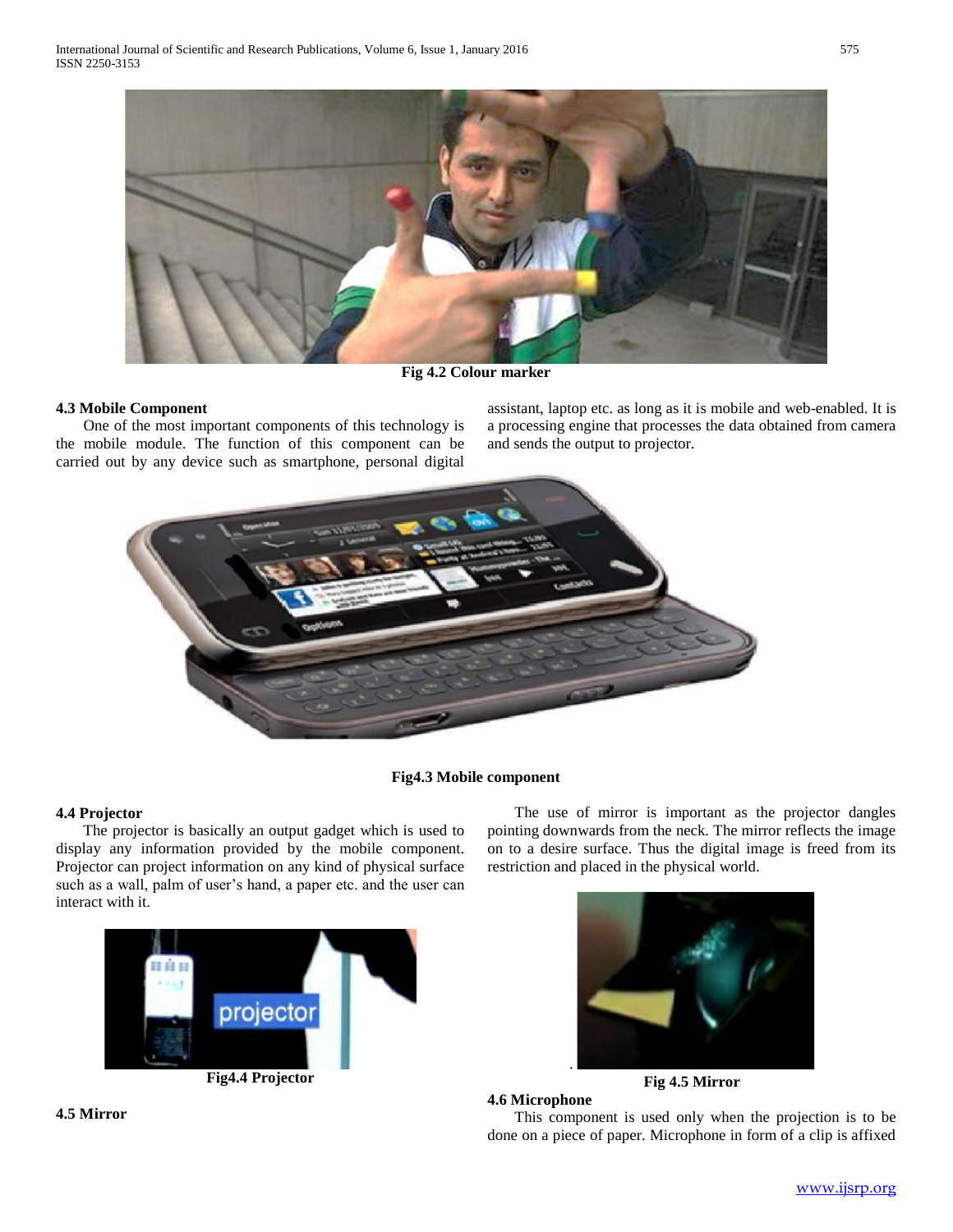

**Fig 4.2 Colour marker**

# **4.3 Mobile Component**

 One of the most important components of this technology is the mobile module. The function of this component can be carried out by any device such as smartphone, personal digital

assistant, laptop etc. as long as it is mobile and web-enabled. It is a processing engine that processes the data obtained from camera and sends the output to projector.



# **Fig4.3 Mobile component**

# **4.4 Projector**

 The projector is basically an output gadget which is used to display any information provided by the mobile component. Projector can project information on any kind of physical surface such as a wall, palm of user's hand, a paper etc. and the user can interact with it.







 The use of mirror is important as the projector dangles pointing downwards from the neck. The mirror reflects the image on to a desire surface. Thus the digital image is freed from its restriction and placed in the physical world.



**4.6 Microphone** This component is used only when the projection is to be done on a piece of paper. Microphone in form of a clip is affixed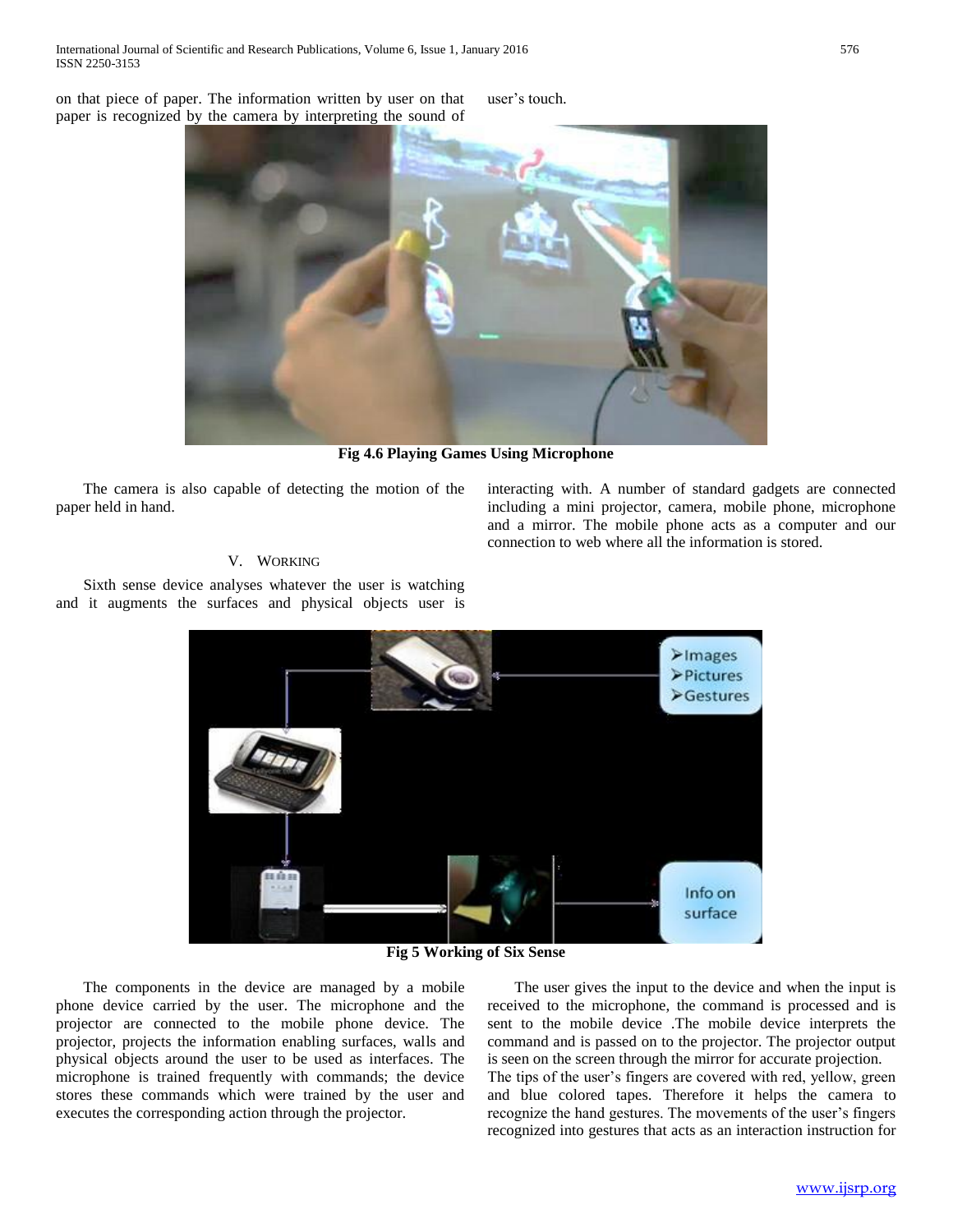on that piece of paper. The information written by user on that paper is recognized by the camera by interpreting the sound of user's touch.



**Fig 4.6 Playing Games Using Microphone**

 The camera is also capable of detecting the motion of the paper held in hand.

interacting with. A number of standard gadgets are connected including a mini projector, camera, mobile phone, microphone and a mirror. The mobile phone acts as a computer and our connection to web where all the information is stored.

# V. WORKING

 Sixth sense device analyses whatever the user is watching and it augments the surfaces and physical objects user is



**Fig 5 Working of Six Sense**

 The components in the device are managed by a mobile phone device carried by the user. The microphone and the projector are connected to the mobile phone device. The projector, projects the information enabling surfaces, walls and physical objects around the user to be used as interfaces. The microphone is trained frequently with commands; the device stores these commands which were trained by the user and executes the corresponding action through the projector.

 The user gives the input to the device and when the input is received to the microphone, the command is processed and is sent to the mobile device .The mobile device interprets the command and is passed on to the projector. The projector output is seen on the screen through the mirror for accurate projection. The tips of the user's fingers are covered with red, yellow, green and blue colored tapes. Therefore it helps the camera to recognize the hand gestures. The movements of the user's fingers recognized into gestures that acts as an interaction instruction for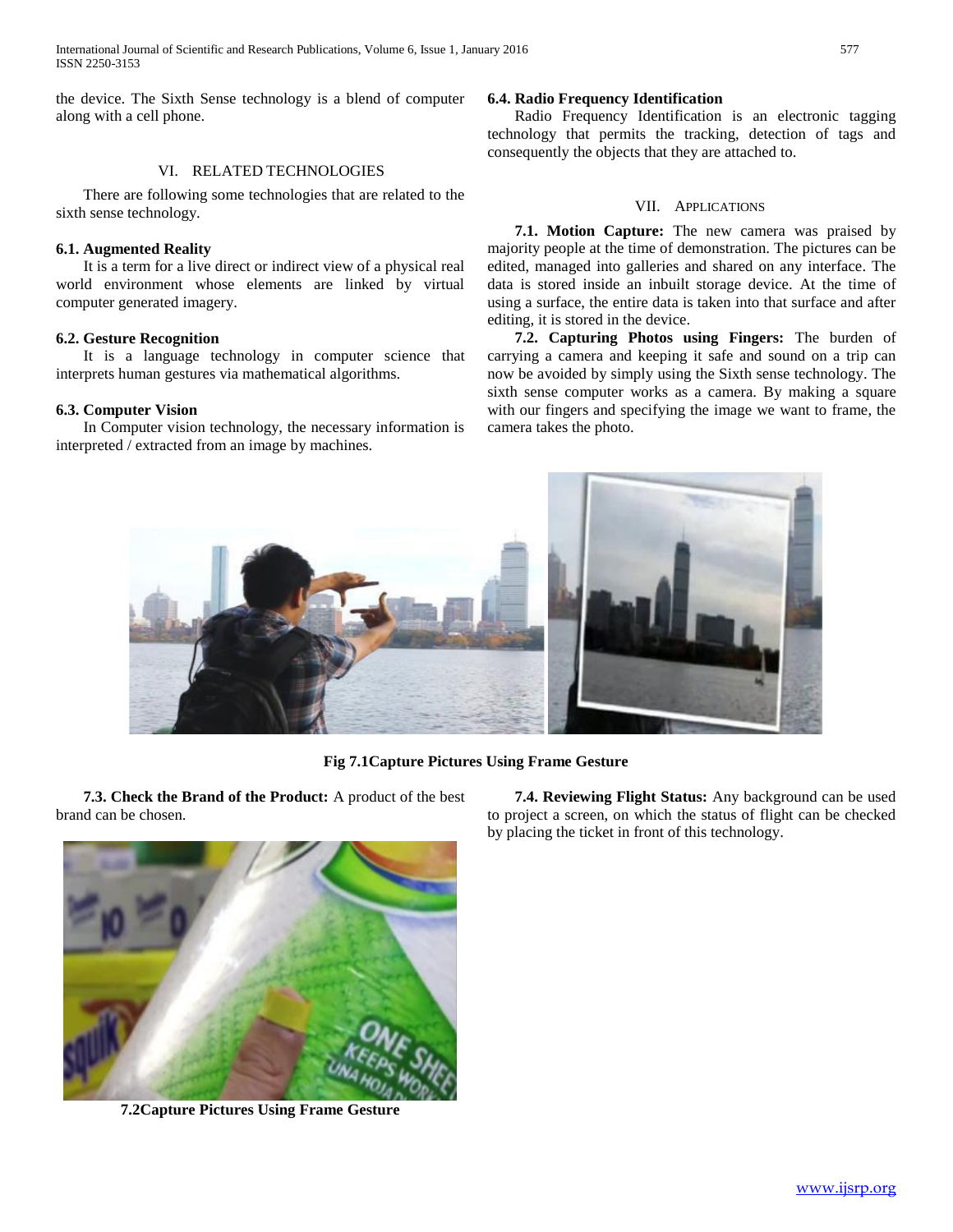International Journal of Scientific and Research Publications, Volume 6, Issue 1, January 2016 577 ISSN 2250-3153

the device. The Sixth Sense technology is a blend of computer along with a cell phone.

# VI. RELATED TECHNOLOGIES

 There are following some technologies that are related to the sixth sense technology.

### **6.1. Augmented Reality**

 It is a term for a live direct or indirect view of a physical real world environment whose elements are linked by virtual computer generated imagery.

## **6.2. Gesture Recognition**

 It is a language technology in computer science that interprets human gestures via mathematical algorithms.

# **6.3. Computer Vision**

 In Computer vision technology, the necessary information is interpreted / extracted from an image by machines.

## **6.4. Radio Frequency Identification**

 Radio Frequency Identification is an electronic tagging technology that permits the tracking, detection of tags and consequently the objects that they are attached to.

## VII. APPLICATIONS

 **7.1. Motion Capture:** The new camera was praised by majority people at the time of demonstration. The pictures can be edited, managed into galleries and shared on any interface. The data is stored inside an inbuilt storage device. At the time of using a surface, the entire data is taken into that surface and after editing, it is stored in the device.

 **7.2. Capturing Photos using Fingers:** The burden of carrying a camera and keeping it safe and sound on a trip can now be avoided by simply using the Sixth sense technology. The sixth sense computer works as a camera. By making a square with our fingers and specifying the image we want to frame, the camera takes the photo.



**Fig 7.1Capture Pictures Using Frame Gesture**

 **7.3. Check the Brand of the Product:** A product of the best brand can be chosen.

**7.2Capture Pictures Using Frame Gesture**

 **7.4. Reviewing Flight Status:** Any background can be used to project a screen, on which the status of flight can be checked by placing the ticket in front of this technology.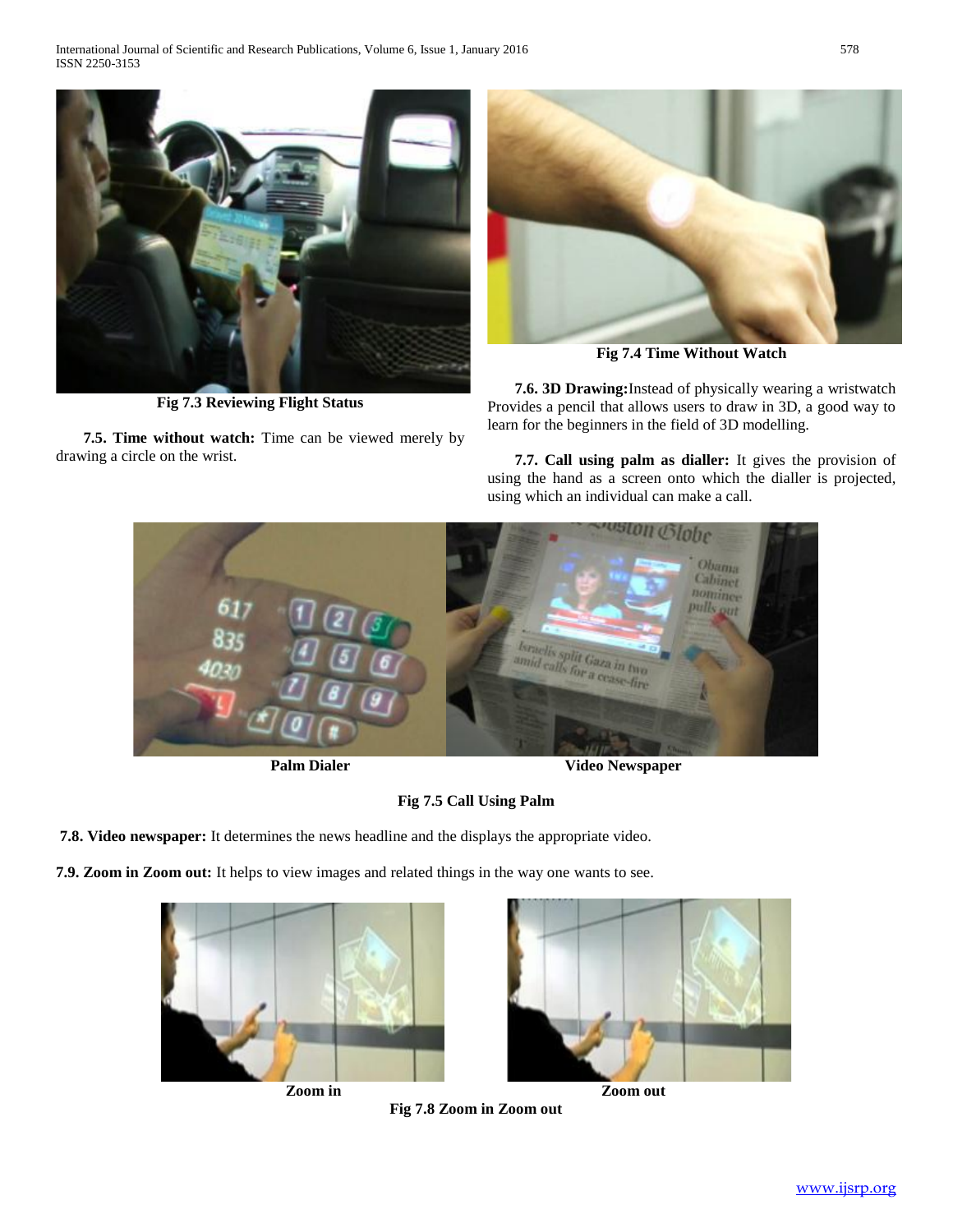International Journal of Scientific and Research Publications, Volume 6, Issue 1, January 2016 578 ISSN 2250-3153



**Fig 7.3 Reviewing Flight Status**

 **7.5. Time without watch:** Time can be viewed merely by drawing a circle on the wrist.



**Fig 7.4 Time Without Watch**

 **7.6. 3D Drawing:**Instead of physically wearing a wristwatch Provides a pencil that allows users to draw in 3D, a good way to learn for the beginners in the field of 3D modelling.

 **7.7. Call using palm as dialler:** It gives the provision of using the hand as a screen onto which the dialler is projected, using which an individual can make a call.





# **Fig 7.5 Call Using Palm**

**Fig 7.8 Zoom in Zoom out**

**7.8. Video newspaper:** It determines the news headline and the displays the appropriate video.

**7.9. Zoom in Zoom out:** It helps to view images and related things in the way one wants to see.





**Zoom in Zoom out**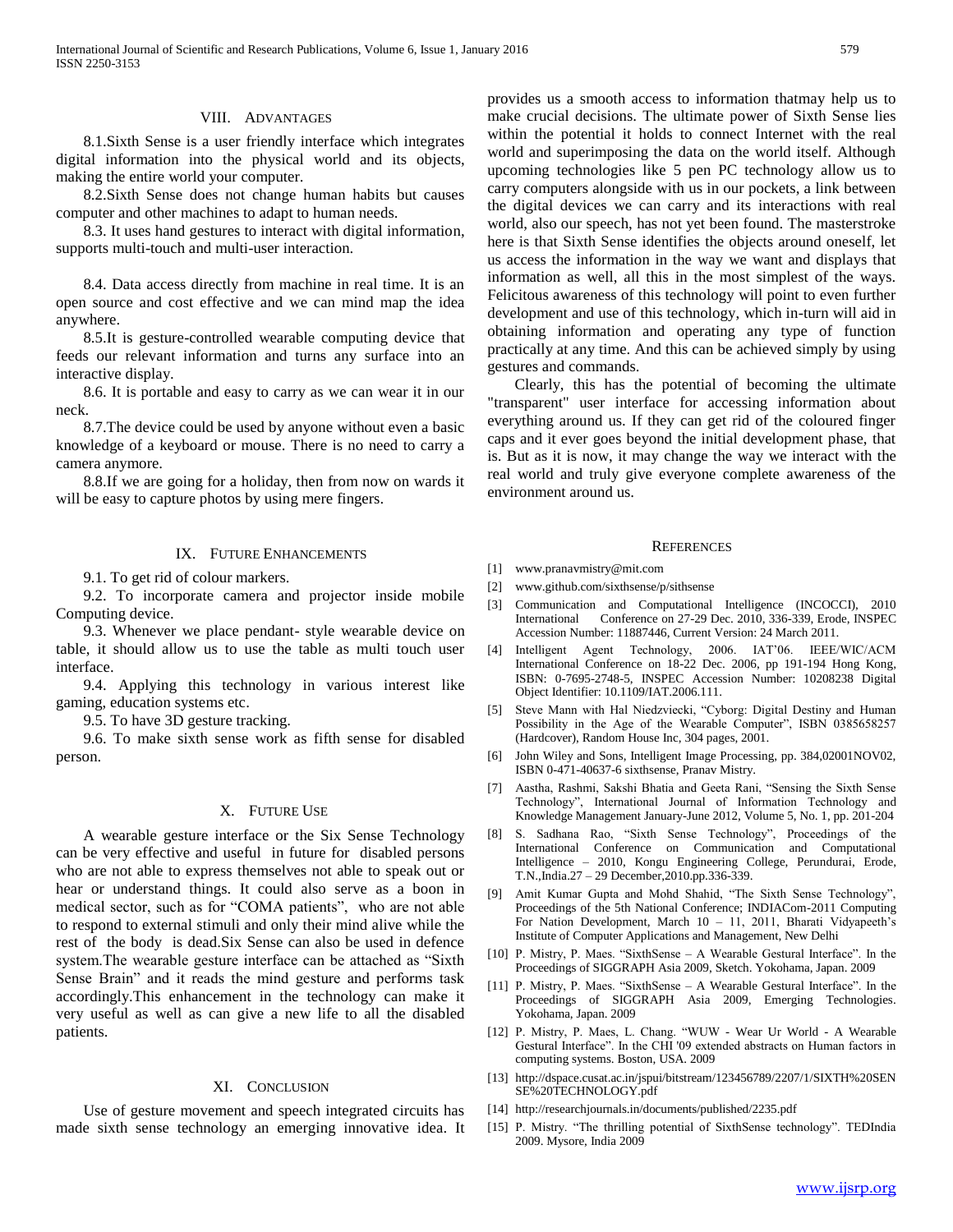# VIII. ADVANTAGES

 8.1.Sixth Sense is a user friendly interface which integrates digital information into the physical world and its objects, making the entire world your computer.

 8.2.Sixth Sense does not change human habits but causes computer and other machines to adapt to human needs.

 8.3. It uses hand gestures to interact with digital information, supports multi-touch and multi-user interaction.

 8.4. Data access directly from machine in real time. It is an open source and cost effective and we can mind map the idea anywhere.

 8.5.It is gesture-controlled wearable computing device that feeds our relevant information and turns any surface into an interactive display.

 8.6. It is portable and easy to carry as we can wear it in our neck.

 8.7.The device could be used by anyone without even a basic knowledge of a keyboard or mouse. There is no need to carry a camera anymore.

 8.8.If we are going for a holiday, then from now on wards it will be easy to capture photos by using mere fingers.

#### IX. FUTURE ENHANCEMENTS

9.1. To get rid of colour markers.

 9.2. To incorporate camera and projector inside mobile Computing device.

 9.3. Whenever we place pendant- style wearable device on table, it should allow us to use the table as multi touch user interface.

 9.4. Applying this technology in various interest like gaming, education systems etc.

9.5. To have 3D gesture tracking.

 9.6. To make sixth sense work as fifth sense for disabled person.

## X. FUTURE USE

 A wearable gesture interface or the Six Sense Technology can be very effective and useful in future for disabled persons who are not able to express themselves not able to speak out or hear or understand things. It could also serve as a boon in medical sector, such as for "COMA patients", who are not able to respond to external stimuli and only their mind alive while the rest of the body is dead.Six Sense can also be used in defence system.The wearable gesture interface can be attached as "Sixth Sense Brain" and it reads the mind gesture and performs task accordingly.This enhancement in the technology can make it very useful as well as can give a new life to all the disabled patients.

#### XI. CONCLUSION

 Use of gesture movement and speech integrated circuits has made sixth sense technology an emerging innovative idea. It provides us a smooth access to information thatmay help us to make crucial decisions. The ultimate power of Sixth Sense lies within the potential it holds to connect Internet with the real world and superimposing the data on the world itself. Although upcoming technologies like 5 pen PC technology allow us to carry computers alongside with us in our pockets, a link between the digital devices we can carry and its interactions with real world, also our speech, has not yet been found. The masterstroke here is that Sixth Sense identifies the objects around oneself, let us access the information in the way we want and displays that information as well, all this in the most simplest of the ways. Felicitous awareness of this technology will point to even further development and use of this technology, which in-turn will aid in obtaining information and operating any type of function practically at any time. And this can be achieved simply by using gestures and commands.

 Clearly, this has the potential of becoming the ultimate "transparent" user interface for accessing information about everything around us. If they can get rid of the coloured finger caps and it ever goes beyond the initial development phase, that is. But as it is now, it may change the way we interact with the real world and truly give everyone complete awareness of the environment around us.

#### **REFERENCES**

- [1] www.pranavmistry@mit.com
- [2] www.github.com/sixthsense/p/sithsense
- [3] Communication and Computational Intelligence (INCOCCI), 2010 International Conference on 27-29 Dec. 2010, 336-339, Erode, INSPEC Accession Number: 11887446, Current Version: 24 March 2011.
- [4] Intelligent Agent Technology, 2006. IAT'06. IEEE/WIC/ACM International Conference on 18-22 Dec. 2006, pp 191-194 Hong Kong, ISBN: 0-7695-2748-5, INSPEC Accession Number: 10208238 Digital Object Identifier: 10.1109/IAT.2006.111.
- [5] Steve Mann with Hal Niedzviecki, "Cyborg: Digital Destiny and Human Possibility in the Age of the Wearable Computer", ISBN 0385658257 (Hardcover), Random House Inc, 304 pages, 2001.
- [6] John Wiley and Sons, Intelligent Image Processing, pp. 384,02001NOV02, ISBN 0-471-40637-6 sixthsense, Pranav Mistry.
- [7] Aastha, Rashmi, Sakshi Bhatia and Geeta Rani, "Sensing the Sixth Sense Technology", International Journal of Information Technology and Knowledge Management January-June 2012, Volume 5, No. 1, pp. 201-204
- [8] S. Sadhana Rao, "Sixth Sense Technology", Proceedings of the International Conference on Communication and Computational Intelligence – 2010, Kongu Engineering College, Perundurai, Erode, T.N.,India.27 – 29 December,2010.pp.336-339.
- [9] Amit Kumar Gupta and Mohd Shahid, "The Sixth Sense Technology", Proceedings of the 5th National Conference; INDIACom-2011 Computing For Nation Development, March 10 – 11, 2011, Bharati Vidyapeeth's Institute of Computer Applications and Management, New Delhi
- [10] P. Mistry, P. Maes. "SixthSense A Wearable Gestural Interface". In the Proceedings of SIGGRAPH Asia 2009, Sketch. Yokohama, Japan. 2009
- [11] P. Mistry, P. Maes. "SixthSense A Wearable Gestural Interface". In the Proceedings of SIGGRAPH Asia 2009, Emerging Technologies. Yokohama, Japan. 2009
- [12] P. Mistry, P. Maes, L. Chang. "WUW Wear Ur World A Wearable Gestural Interface". In the CHI '09 extended abstracts on Human factors in computing systems. Boston, USA. 2009
- [13] http://dspace.cusat.ac.in/jspui/bitstream/123456789/2207/1/SIXTH%20SEN SE%20TECHNOLOGY.pdf
- [14] http://researchjournals.in/documents/published/2235.pdf
- [15] P. Mistry. "The thrilling potential of SixthSense technology". TEDIndia 2009. Mysore, India 2009